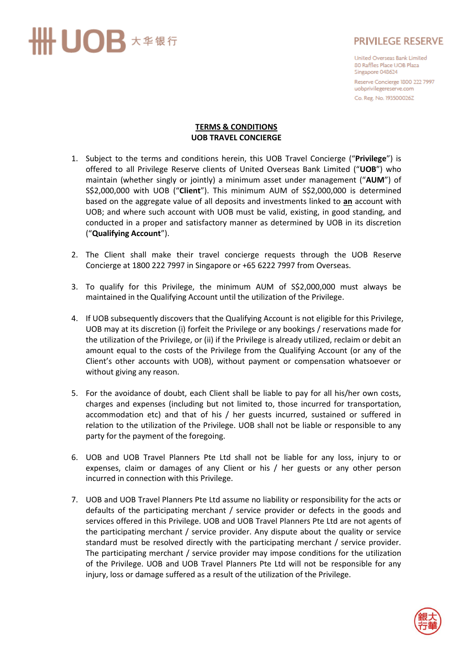## ·UOB \*\*\*\*

## **PRIVILEGE RESERVE**

United Overseas Bank Limited 80 Raffles Place UOB Plaza Singapore 048624

Reserve Concierge 1800 222 7997 uobprivilegereserve.com Co. Reg. No. 193500026Z

## **TERMS & CONDITIONS UOB TRAVEL CONCIERGE**

- 1. Subject to the terms and conditions herein, this UOB Travel Concierge ("**Privilege**") is offered to all Privilege Reserve clients of United Overseas Bank Limited ("**UOB**") who maintain (whether singly or jointly) a minimum asset under management ("**AUM**") of S\$2,000,000 with UOB ("**Client**"). This minimum AUM of S\$2,000,000 is determined based on the aggregate value of all deposits and investments linked to **an** account with UOB; and where such account with UOB must be valid, existing, in good standing, and conducted in a proper and satisfactory manner as determined by UOB in its discretion ("**Qualifying Account**").
- 2. The Client shall make their travel concierge requests through the UOB Reserve Concierge at 1800 222 7997 in Singapore or +65 6222 7997 from Overseas.
- 3. To qualify for this Privilege, the minimum AUM of S\$2,000,000 must always be maintained in the Qualifying Account until the utilization of the Privilege.
- 4. If UOB subsequently discovers that the Qualifying Account is not eligible for this Privilege, UOB may at its discretion (i) forfeit the Privilege or any bookings / reservations made for the utilization of the Privilege, or (ii) if the Privilege is already utilized, reclaim or debit an amount equal to the costs of the Privilege from the Qualifying Account (or any of the Client's other accounts with UOB), without payment or compensation whatsoever or without giving any reason.
- 5. For the avoidance of doubt, each Client shall be liable to pay for all his/her own costs, charges and expenses (including but not limited to, those incurred for transportation, accommodation etc) and that of his / her guests incurred, sustained or suffered in relation to the utilization of the Privilege. UOB shall not be liable or responsible to any party for the payment of the foregoing.
- 6. UOB and UOB Travel Planners Pte Ltd shall not be liable for any loss, injury to or expenses, claim or damages of any Client or his / her guests or any other person incurred in connection with this Privilege.
- 7. UOB and UOB Travel Planners Pte Ltd assume no liability or responsibility for the acts or defaults of the participating merchant / service provider or defects in the goods and services offered in this Privilege. UOB and UOB Travel Planners Pte Ltd are not agents of the participating merchant / service provider. Any dispute about the quality or service standard must be resolved directly with the participating merchant / service provider. The participating merchant / service provider may impose conditions for the utilization of the Privilege. UOB and UOB Travel Planners Pte Ltd will not be responsible for any injury, loss or damage suffered as a result of the utilization of the Privilege.